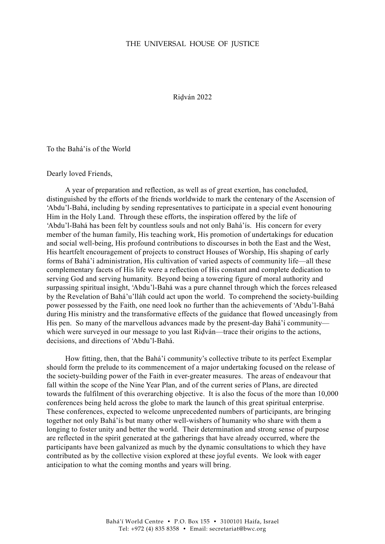## THE UNIVERSAL HOUSE OF JUSTICE

Riḍván 2022

## To the Bahá'ís of the World

## Dearly loved Friends,

A year of preparation and reflection, as well as of great exertion, has concluded, distinguished by the efforts of the friends worldwide to mark the centenary of the Ascension of 'Abdu'l-Bahá, including by sending representatives to participate in a special event honouring Him in the Holy Land. Through these efforts, the inspiration offered by the life of 'Abdu'l-Bahá has been felt by countless souls and not only Bahá'ís. His concern for every member of the human family, His teaching work, His promotion of undertakings for education and social well-being, His profound contributions to discourses in both the East and the West, His heartfelt encouragement of projects to construct Houses of Worship, His shaping of early forms of Bahá'í administration, His cultivation of varied aspects of community life—all these complementary facets of His life were a reflection of His constant and complete dedication to serving God and serving humanity. Beyond being a towering figure of moral authority and surpassing spiritual insight, 'Abdu'l-Bahá was a pure channel through which the forces released by the Revelation of Bahá'u'lláh could act upon the world. To comprehend the society-building power possessed by the Faith, one need look no further than the achievements of 'Abdu'l-Bahá during His ministry and the transformative effects of the guidance that flowed unceasingly from His pen. So many of the marvellous advances made by the present-day Bahá'í community which were surveyed in our message to you last Ridván—trace their origins to the actions, decisions, and directions of 'Abdu'l-Bahá.

How fitting, then, that the Bahá'í community's collective tribute to its perfect Exemplar should form the prelude to its commencement of a major undertaking focused on the release of the society-building power of the Faith in ever-greater measures. The areas of endeavour that fall within the scope of the Nine Year Plan, and of the current series of Plans, are directed towards the fulfilment of this overarching objective. It is also the focus of the more than 10,000 conferences being held across the globe to mark the launch of this great spiritual enterprise. These conferences, expected to welcome unprecedented numbers of participants, are bringing together not only Bahá'ís but many other well-wishers of humanity who share with them a longing to foster unity and better the world. Their determination and strong sense of purpose are reflected in the spirit generated at the gatherings that have already occurred, where the participants have been galvanized as much by the dynamic consultations to which they have contributed as by the collective vision explored at these joyful events. We look with eager anticipation to what the coming months and years will bring.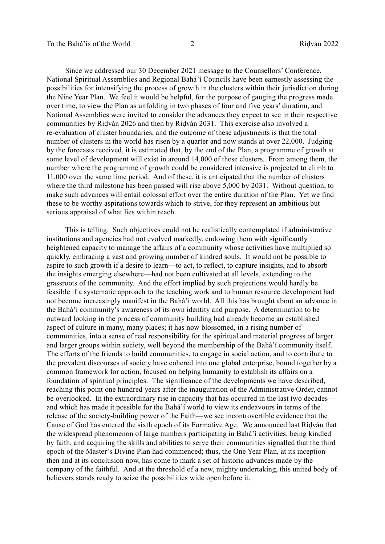Since we addressed our 30 December 2021 message to the Counsellors' Conference, National Spiritual Assemblies and Regional Bahá'í Councils have been earnestly assessing the possibilities for intensifying the process of growth in the clusters within their jurisdiction during the Nine Year Plan. We feel it would be helpful, for the purpose of gauging the progress made over time, to view the Plan as unfolding in two phases of four and five years' duration, and National Assemblies were invited to consider the advances they expect to see in their respective communities by Riḍván 2026 and then by Riḍván 2031. This exercise also involved a re-evaluation of cluster boundaries, and the outcome of these adjustments is that the total number of clusters in the world has risen by a quarter and now stands at over 22,000. Judging by the forecasts received, it is estimated that, by the end of the Plan, a programme of growth at some level of development will exist in around 14,000 of these clusters. From among them, the number where the programme of growth could be considered intensive is projected to climb to 11,000 over the same time period. And of these, it is anticipated that the number of clusters where the third milestone has been passed will rise above 5,000 by 2031. Without question, to make such advances will entail colossal effort over the entire duration of the Plan. Yet we find these to be worthy aspirations towards which to strive, for they represent an ambitious but serious appraisal of what lies within reach.

This is telling. Such objectives could not be realistically contemplated if administrative institutions and agencies had not evolved markedly, endowing them with significantly heightened capacity to manage the affairs of a community whose activities have multiplied so quickly, embracing a vast and growing number of kindred souls. It would not be possible to aspire to such growth if a desire to learn—to act, to reflect, to capture insights, and to absorb the insights emerging elsewhere—had not been cultivated at all levels, extending to the grassroots of the community. And the effort implied by such projections would hardly be feasible if a systematic approach to the teaching work and to human resource development had not become increasingly manifest in the Bahá'í world. All this has brought about an advance in the Bahá'í community's awareness of its own identity and purpose. A determination to be outward looking in the process of community building had already become an established aspect of culture in many, many places; it has now blossomed, in a rising number of communities, into a sense of real responsibility for the spiritual and material progress of larger and larger groups within society, well beyond the membership of the Bahá'í community itself. The efforts of the friends to build communities, to engage in social action, and to contribute to the prevalent discourses of society have cohered into one global enterprise, bound together by a common framework for action, focused on helping humanity to establish its affairs on a foundation of spiritual principles. The significance of the developments we have described, reaching this point one hundred years after the inauguration of the Administrative Order, cannot be overlooked. In the extraordinary rise in capacity that has occurred in the last two decades and which has made it possible for the Bahá'í world to view its endeavours in terms of the release of the society-building power of the Faith—we see incontrovertible evidence that the Cause of God has entered the sixth epoch of its Formative Age. We announced last Riḍván that the widespread phenomenon of large numbers participating in Bahá'í activities, being kindled by faith, and acquiring the skills and abilities to serve their communities signalled that the third epoch of the Master's Divine Plan had commenced; thus, the One Year Plan, at its inception then and at its conclusion now, has come to mark a set of historic advances made by the company of the faithful. And at the threshold of a new, mighty undertaking, this united body of believers stands ready to seize the possibilities wide open before it.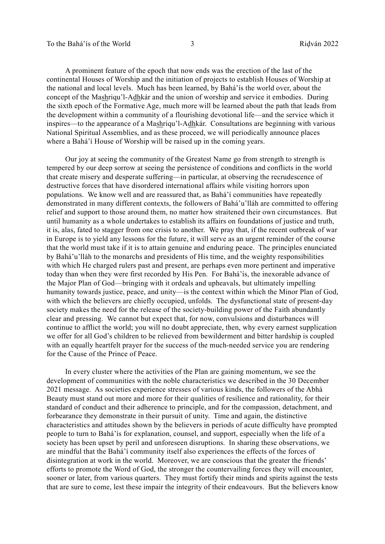A prominent feature of the epoch that now ends was the erection of the last of the continental Houses of Worship and the initiation of projects to establish Houses of Worship at the national and local levels. Much has been learned, by Bahá'ís the world over, about the concept of the Mashriqu'l-Adhkár and the union of worship and service it embodies. During the sixth epoch of the Formative Age, much more will be learned about the path that leads from the development within a community of a flourishing devotional life—and the service which it inspires—to the appearance of a Mashriqu'l-Adhkár. Consultations are beginning with various National Spiritual Assemblies, and as these proceed, we will periodically announce places where a Bahá'í House of Worship will be raised up in the coming years.

Our joy at seeing the community of the Greatest Name go from strength to strength is tempered by our deep sorrow at seeing the persistence of conditions and conflicts in the world that create misery and desperate suffering—in particular, at observing the recrudescence of destructive forces that have disordered international affairs while visiting horrors upon populations. We know well and are reassured that, as Bahá'í communities have repeatedly demonstrated in many different contexts, the followers of Bahá'u'lláh are committed to offering relief and support to those around them, no matter how straitened their own circumstances. But until humanity as a whole undertakes to establish its affairs on foundations of justice and truth, it is, alas, fated to stagger from one crisis to another. We pray that, if the recent outbreak of war in Europe is to yield any lessons for the future, it will serve as an urgent reminder of the course that the world must take if it is to attain genuine and enduring peace. The principles enunciated by Bahá'u'lláh to the monarchs and presidents of His time, and the weighty responsibilities with which He charged rulers past and present, are perhaps even more pertinent and imperative today than when they were first recorded by His Pen. For Bahá'ís, the inexorable advance of the Major Plan of God—bringing with it ordeals and upheavals, but ultimately impelling humanity towards justice, peace, and unity—is the context within which the Minor Plan of God, with which the believers are chiefly occupied, unfolds. The dysfunctional state of present-day society makes the need for the release of the society-building power of the Faith abundantly clear and pressing. We cannot but expect that, for now, convulsions and disturbances will continue to afflict the world; you will no doubt appreciate, then, why every earnest supplication we offer for all God's children to be relieved from bewilderment and bitter hardship is coupled with an equally heartfelt prayer for the success of the much-needed service you are rendering for the Cause of the Prince of Peace.

In every cluster where the activities of the Plan are gaining momentum, we see the development of communities with the noble characteristics we described in the 30 December 2021 message. As societies experience stresses of various kinds, the followers of the Abhá Beauty must stand out more and more for their qualities of resilience and rationality, for their standard of conduct and their adherence to principle, and for the compassion, detachment, and forbearance they demonstrate in their pursuit of unity. Time and again, the distinctive characteristics and attitudes shown by the believers in periods of acute difficulty have prompted people to turn to Bahá'ís for explanation, counsel, and support, especially when the life of a society has been upset by peril and unforeseen disruptions. In sharing these observations, we are mindful that the Bahá'í community itself also experiences the effects of the forces of disintegration at work in the world. Moreover, we are conscious that the greater the friends' efforts to promote the Word of God, the stronger the countervailing forces they will encounter, sooner or later, from various quarters. They must fortify their minds and spirits against the tests that are sure to come, lest these impair the integrity of their endeavours. But the believers know